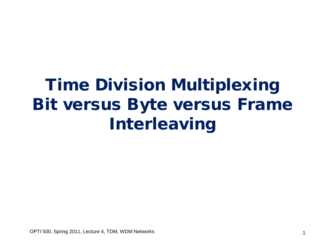# Time Division Multiplexing Bit versus Byte versus Frame Interleaving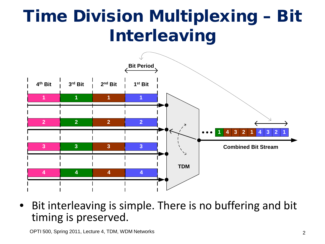# Time Division Multiplexing – Bit Interleaving



Bit interleaving is simple. There is no buffering and bit timing is preserved.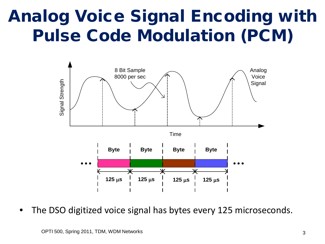# Analog Voice Signal Encoding with Pulse Code Modulation (PCM)



The DSO digitized voice signal has bytes every 125 microseconds.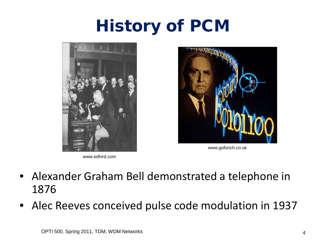# History of PCM



www.edhird.com



www.goforich.co.uk

- Alexander Graham Bell demonstrated a telephone in 1876
- Alec Reeves conceived pulse code modulation in 1937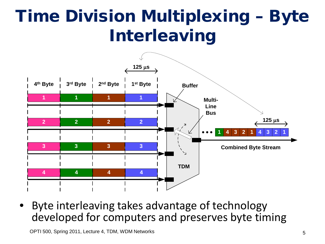# Time Division Multiplexing – Byte Interleaving



• Byte interleaving takes advantage of technology developed for computers and preserves byte timing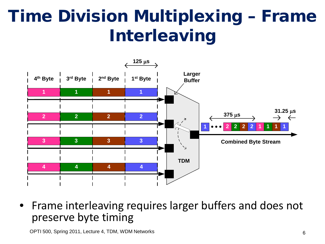# Time Division Multiplexing – Frame Interleaving



• Frame interleaving requires larger buffers and does not preserve byte timing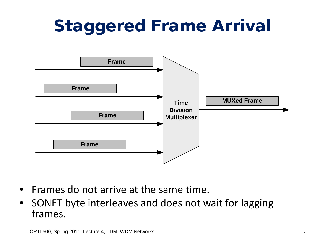# Staggered Frame Arrival



- Frames do not arrive at the same time.
- SONET byte interleaves and does not wait for lagging frames.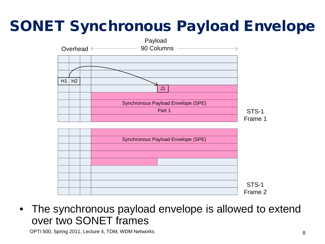#### SONET Synchronous Payload Envelope





• The synchronous payload envelope is allowed to extend over two SONET frames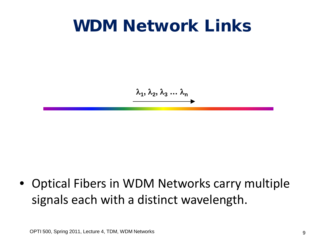#### WDM Network Links

λ**1,** λ**2,** λ**<sup>3</sup> …** λ**<sup>n</sup>**

• Optical Fibers in WDM Networks carry multiple signals each with a distinct wavelength.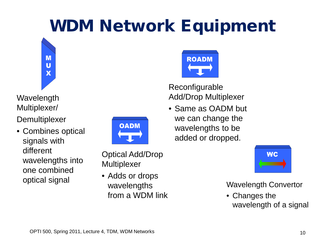# WDM Network Equipment



Wavelength Multiplexer/

**Demultiplexer** 

• Combines optical signals with different wavelengths into one combined optical signal



Optical Add/Drop **Multiplexer** 

• Adds or drops wavelengths from a WDM link



#### Reconfigurable Add/Drop Multiplexer

• Same as OADM but we can change the wavelengths to be added or dropped.



Wavelength Convertor

• Changes the wavelength of a signal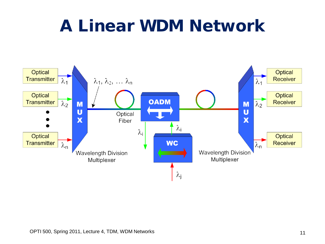### A Linear WDM Network

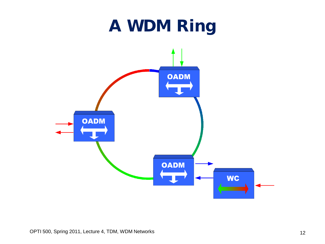# A WDM Ring

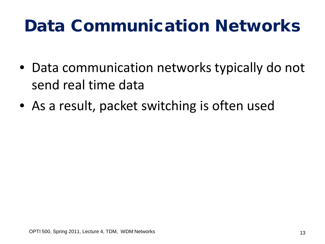# Data Communication Networks

- Data communication networks typically do not send real time data
- As a result, packet switching is often used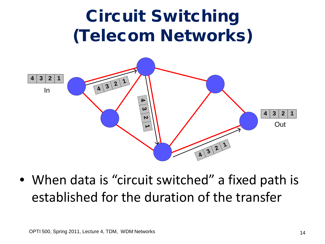

• When data is "circuit switched" a fixed path is established for the duration of the transfer